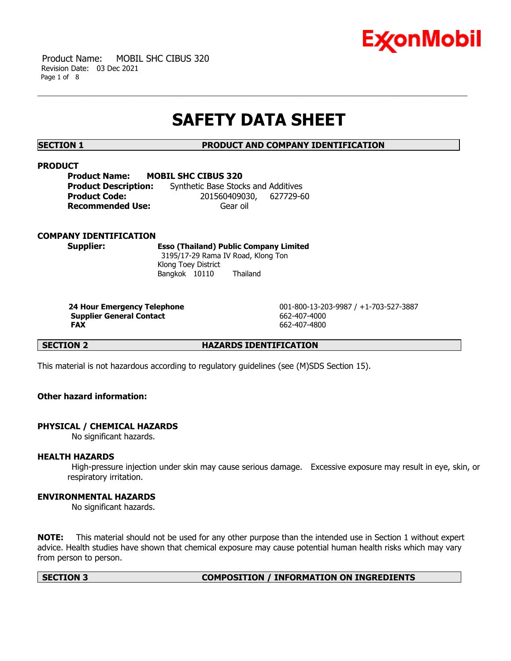

 Product Name: MOBIL SHC CIBUS 320 Revision Date: 03 Dec 2021 Page 1 of 8

# **SAFETY DATA SHEET**

**SECTION 1 PRODUCT AND COMPANY IDENTIFICATION**

# **PRODUCT**

**Product Name: MOBIL SHC CIBUS 320 Product Description:** Synthetic Base Stocks and Additives **Product Code:** 201560409030, 627729-60 **Recommended Use: Gear oil** 

# **COMPANY IDENTIFICATION**

**Supplier: Esso (Thailand) Public Company Limited** 3195/17-29 Rama IV Road, Klong Ton Klong Toey District Bangkok 10110 Thailand

**Supplier General Contact** 662-407-4000 **FAX** 662-407-4800

**24 Hour Emergency Telephone** 001-800-13-203-9987 / +1-703-527-3887

**SECTION 2 HAZARDS IDENTIFICATION**

This material is not hazardous according to regulatory guidelines (see (M)SDS Section 15).

# **Other hazard information:**

# **PHYSICAL / CHEMICAL HAZARDS**

No significant hazards.

# **HEALTH HAZARDS**

High-pressure injection under skin may cause serious damage. Excessive exposure may result in eye, skin, or respiratory irritation.

# **ENVIRONMENTAL HAZARDS**

No significant hazards.

**NOTE:** This material should not be used for any other purpose than the intended use in Section 1 without expert advice. Health studies have shown that chemical exposure may cause potential human health risks which may vary from person to person.

### **SECTION 3 COMPOSITION / INFORMATION ON INGREDIENTS**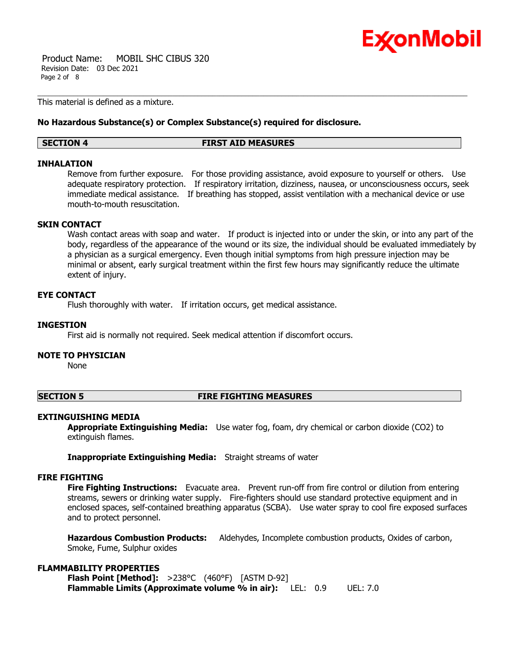

 Product Name: MOBIL SHC CIBUS 320 Revision Date: 03 Dec 2021 Page 2 of 8

This material is defined as a mixture.

# **No Hazardous Substance(s) or Complex Substance(s) required for disclosure.**

### **SECTION 4 FIRST AID MEASURES**

# **INHALATION**

Remove from further exposure. For those providing assistance, avoid exposure to yourself or others. Use adequate respiratory protection. If respiratory irritation, dizziness, nausea, or unconsciousness occurs, seek immediate medical assistance. If breathing has stopped, assist ventilation with a mechanical device or use mouth-to-mouth resuscitation.

# **SKIN CONTACT**

Wash contact areas with soap and water. If product is injected into or under the skin, or into any part of the body, regardless of the appearance of the wound or its size, the individual should be evaluated immediately by a physician as a surgical emergency. Even though initial symptoms from high pressure injection may be minimal or absent, early surgical treatment within the first few hours may significantly reduce the ultimate extent of injury.

# **EYE CONTACT**

Flush thoroughly with water. If irritation occurs, get medical assistance.

# **INGESTION**

First aid is normally not required. Seek medical attention if discomfort occurs.

# **NOTE TO PHYSICIAN**

None

# **SECTION 5 FIRE FIGHTING MEASURES**

# **EXTINGUISHING MEDIA**

**Appropriate Extinguishing Media:** Use water fog, foam, dry chemical or carbon dioxide (CO2) to extinguish flames.

**Inappropriate Extinguishing Media:** Straight streams of water

# **FIRE FIGHTING**

**Fire Fighting Instructions:** Evacuate area. Prevent run-off from fire control or dilution from entering streams, sewers or drinking water supply. Fire-fighters should use standard protective equipment and in enclosed spaces, self-contained breathing apparatus (SCBA). Use water spray to cool fire exposed surfaces and to protect personnel.

**Hazardous Combustion Products:** Aldehydes, Incomplete combustion products, Oxides of carbon, Smoke, Fume, Sulphur oxides

# **FLAMMABILITY PROPERTIES**

**Flash Point [Method]:** >238°C (460°F) [ASTM D-92] **Flammable Limits (Approximate volume % in air):** LEL: 0.9 UEL: 7.0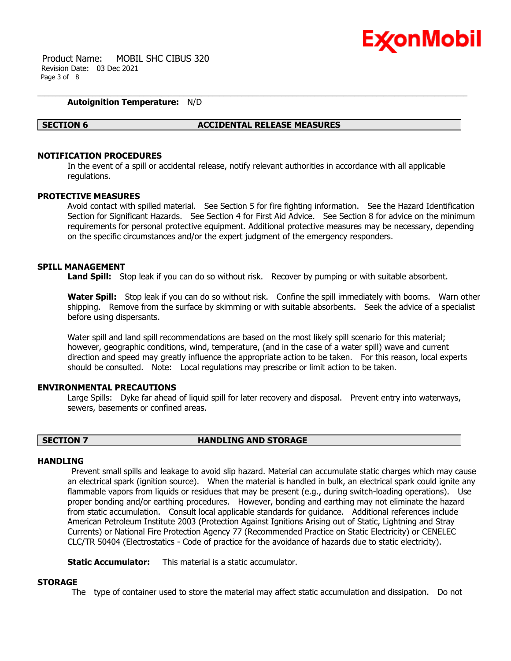

 Product Name: MOBIL SHC CIBUS 320 Revision Date: 03 Dec 2021 Page 3 of 8

# **Autoignition Temperature:** N/D

### **SECTION 6 ACCIDENTAL RELEASE MEASURES**

# **NOTIFICATION PROCEDURES**

In the event of a spill or accidental release, notify relevant authorities in accordance with all applicable regulations.

### **PROTECTIVE MEASURES**

Avoid contact with spilled material. See Section 5 for fire fighting information. See the Hazard Identification Section for Significant Hazards. See Section 4 for First Aid Advice. See Section 8 for advice on the minimum requirements for personal protective equipment. Additional protective measures may be necessary, depending on the specific circumstances and/or the expert judgment of the emergency responders.

## **SPILL MANAGEMENT**

**Land Spill:** Stop leak if you can do so without risk. Recover by pumping or with suitable absorbent.

**Water Spill:** Stop leak if you can do so without risk. Confine the spill immediately with booms. Warn other shipping. Remove from the surface by skimming or with suitable absorbents. Seek the advice of a specialist before using dispersants.

Water spill and land spill recommendations are based on the most likely spill scenario for this material; however, geographic conditions, wind, temperature, (and in the case of a water spill) wave and current direction and speed may greatly influence the appropriate action to be taken. For this reason, local experts should be consulted. Note: Local regulations may prescribe or limit action to be taken.

# **ENVIRONMENTAL PRECAUTIONS**

Large Spills: Dyke far ahead of liquid spill for later recovery and disposal. Prevent entry into waterways, sewers, basements or confined areas.

# **SECTION 7 HANDLING AND STORAGE**

# **HANDI TNG**

Prevent small spills and leakage to avoid slip hazard. Material can accumulate static charges which may cause an electrical spark (ignition source). When the material is handled in bulk, an electrical spark could ignite any flammable vapors from liquids or residues that may be present (e.g., during switch-loading operations). Use proper bonding and/or earthing procedures. However, bonding and earthing may not eliminate the hazard from static accumulation. Consult local applicable standards for guidance. Additional references include American Petroleum Institute 2003 (Protection Against Ignitions Arising out of Static, Lightning and Stray Currents) or National Fire Protection Agency 77 (Recommended Practice on Static Electricity) or CENELEC CLC/TR 50404 (Electrostatics - Code of practice for the avoidance of hazards due to static electricity).

**Static Accumulator:** This material is a static accumulator.

### **STORAGE**

The type of container used to store the material may affect static accumulation and dissipation. Do not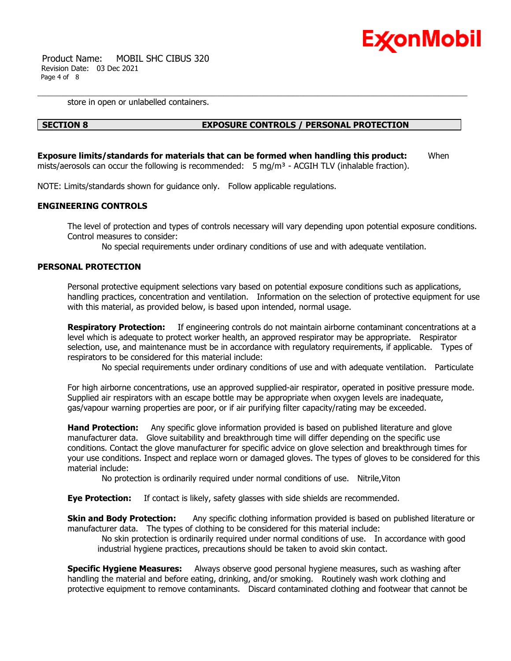

 Product Name: MOBIL SHC CIBUS 320 Revision Date: 03 Dec 2021 Page 4 of 8

store in open or unlabelled containers.

# **SECTION 8 EXPOSURE CONTROLS / PERSONAL PROTECTION**

**Exposure limits/standards for materials that can be formed when handling this product:** When mists/aerosols can occur the following is recommended:  $5 \text{ mg/m}^3$  - ACGIH TLV (inhalable fraction).

NOTE: Limits/standards shown for guidance only. Follow applicable regulations.

# **ENGINEERING CONTROLS**

The level of protection and types of controls necessary will vary depending upon potential exposure conditions. Control measures to consider:

No special requirements under ordinary conditions of use and with adequate ventilation.

# **PERSONAL PROTECTION**

Personal protective equipment selections vary based on potential exposure conditions such as applications, handling practices, concentration and ventilation. Information on the selection of protective equipment for use with this material, as provided below, is based upon intended, normal usage.

**Respiratory Protection:** If engineering controls do not maintain airborne contaminant concentrations at a level which is adequate to protect worker health, an approved respirator may be appropriate. Respirator selection, use, and maintenance must be in accordance with regulatory requirements, if applicable. Types of respirators to be considered for this material include:

No special requirements under ordinary conditions of use and with adequate ventilation. Particulate

For high airborne concentrations, use an approved supplied-air respirator, operated in positive pressure mode. Supplied air respirators with an escape bottle may be appropriate when oxygen levels are inadequate, gas/vapour warning properties are poor, or if air purifying filter capacity/rating may be exceeded.

**Hand Protection:** Any specific glove information provided is based on published literature and glove manufacturer data. Glove suitability and breakthrough time will differ depending on the specific use conditions. Contact the glove manufacturer for specific advice on glove selection and breakthrough times for your use conditions. Inspect and replace worn or damaged gloves. The types of gloves to be considered for this material include:

No protection is ordinarily required under normal conditions of use. Nitrile,Viton

**Eye Protection:** If contact is likely, safety glasses with side shields are recommended.

**Skin and Body Protection:** Any specific clothing information provided is based on published literature or manufacturer data. The types of clothing to be considered for this material include:

No skin protection is ordinarily required under normal conditions of use. In accordance with good industrial hygiene practices, precautions should be taken to avoid skin contact.

**Specific Hygiene Measures:** Always observe good personal hygiene measures, such as washing after handling the material and before eating, drinking, and/or smoking. Routinely wash work clothing and protective equipment to remove contaminants. Discard contaminated clothing and footwear that cannot be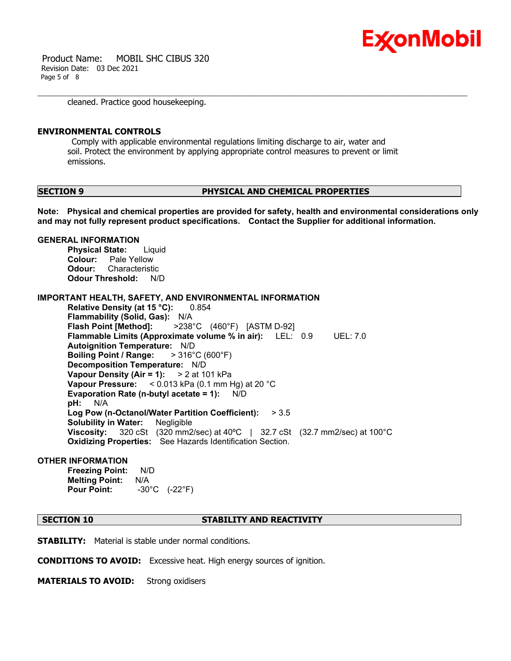

 Product Name: MOBIL SHC CIBUS 320 Revision Date: 03 Dec 2021 Page 5 of 8

cleaned. Practice good housekeeping.

## **ENVIRONMENTAL CONTROLS**

Comply with applicable environmental regulations limiting discharge to air, water and soil. Protect the environment by applying appropriate control measures to prevent or limit emissions.

## **SECTION 9 PHYSICAL AND CHEMICAL PROPERTIES**

**Note: Physical and chemical properties are provided for safety, health and environmental considerations only and may not fully represent product specifications. Contact the Supplier for additional information.**

### **GENERAL INFORMATION**

**Physical State:** Liquid **Colour:** Pale Yellow **Odour:** Characteristic **Odour Threshold:** N/D

**IMPORTANT HEALTH, SAFETY, AND ENVIRONMENTAL INFORMATION**

**Relative Density (at 15 °C):** 0.854 **Flammability (Solid, Gas):** N/A **Flash Point [Method]:** >238°C (460°F) [ASTM D-92] **Flammable Limits (Approximate volume % in air):** LEL: 0.9 UEL: 7.0 **Autoignition Temperature:** N/D **Boiling Point / Range:** > 316°C (600°F) **Decomposition Temperature:** N/D **Vapour Density (Air = 1):** > 2 at 101 kPa **Vapour Pressure:** < 0.013 kPa (0.1 mm Hg) at 20 °C **Evaporation Rate (n-butyl acetate = 1):** N/D **pH:** N/A **Log Pow (n-Octanol/Water Partition Coefficient):** > 3.5 **Solubility in Water:** Negligible **Viscosity:** 320 cSt (320 mm2/sec) at 40ºC | 32.7 cSt (32.7 mm2/sec) at 100°C **Oxidizing Properties:** See Hazards Identification Section.

# **OTHER INFORMATION**

**Freezing Point:** N/D **Melting Point:** N/A **Pour Point:** -30°C (-22°F)

## **SECTION 10 STABILITY AND REACTIVITY**

**STABILITY:** Material is stable under normal conditions.

**CONDITIONS TO AVOID:** Excessive heat. High energy sources of ignition.

**MATERIALS TO AVOID:** Strong oxidisers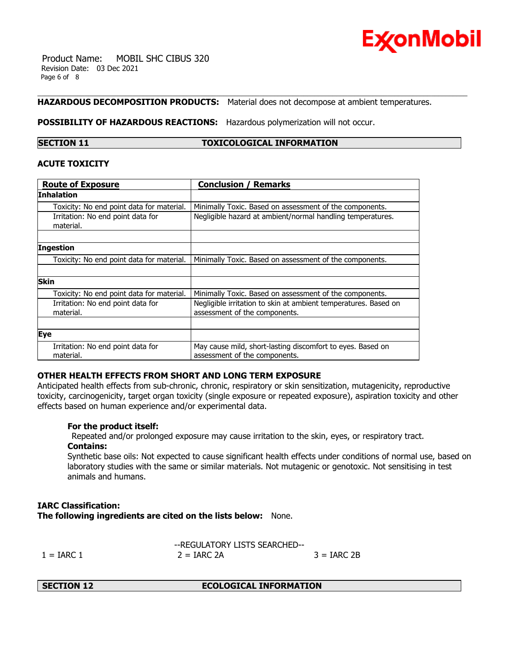

 Product Name: MOBIL SHC CIBUS 320 Revision Date: 03 Dec 2021 Page 6 of 8

# **HAZARDOUS DECOMPOSITION PRODUCTS:** Material does not decompose at ambient temperatures.

## **POSSIBILITY OF HAZARDOUS REACTIONS:** Hazardous polymerization will not occur.

# **SECTION 11 TOXICOLOGICAL INFORMATION**

# **ACUTE TOXICITY**

| <b>Route of Exposure</b>                       | <b>Conclusion / Remarks</b>                                                                      |
|------------------------------------------------|--------------------------------------------------------------------------------------------------|
| Inhalation                                     |                                                                                                  |
| Toxicity: No end point data for material.      | Minimally Toxic. Based on assessment of the components.                                          |
| Irritation: No end point data for<br>material. | Negligible hazard at ambient/normal handling temperatures.                                       |
|                                                |                                                                                                  |
| <b>Ingestion</b>                               |                                                                                                  |
| Toxicity: No end point data for material.      | Minimally Toxic. Based on assessment of the components.                                          |
|                                                |                                                                                                  |
| <b>Skin</b>                                    |                                                                                                  |
| Toxicity: No end point data for material.      | Minimally Toxic. Based on assessment of the components.                                          |
| Irritation: No end point data for<br>material. | Negligible irritation to skin at ambient temperatures. Based on<br>assessment of the components. |
|                                                |                                                                                                  |
| <b>Eye</b>                                     |                                                                                                  |
| Irritation: No end point data for<br>material. | May cause mild, short-lasting discomfort to eyes. Based on<br>assessment of the components.      |

# **OTHER HEALTH EFFECTS FROM SHORT AND LONG TERM EXPOSURE**

Anticipated health effects from sub-chronic, chronic, respiratory or skin sensitization, mutagenicity, reproductive toxicity, carcinogenicity, target organ toxicity (single exposure or repeated exposure), aspiration toxicity and other effects based on human experience and/or experimental data.

# **For the product itself:**

Repeated and/or prolonged exposure may cause irritation to the skin, eyes, or respiratory tract. **Contains:**

Synthetic base oils: Not expected to cause significant health effects under conditions of normal use, based on laboratory studies with the same or similar materials. Not mutagenic or genotoxic. Not sensitising in test animals and humans.

# **IARC Classification: The following ingredients are cited on the lists below:** None.

--REGULATORY LISTS SEARCHED--  $1 = \text{IARC } 1$   $2 = \text{IARC } 2\text{A}$   $3 = \text{IARC } 2\text{B}$ 

**SECTION 12 ECOLOGICAL INFORMATION**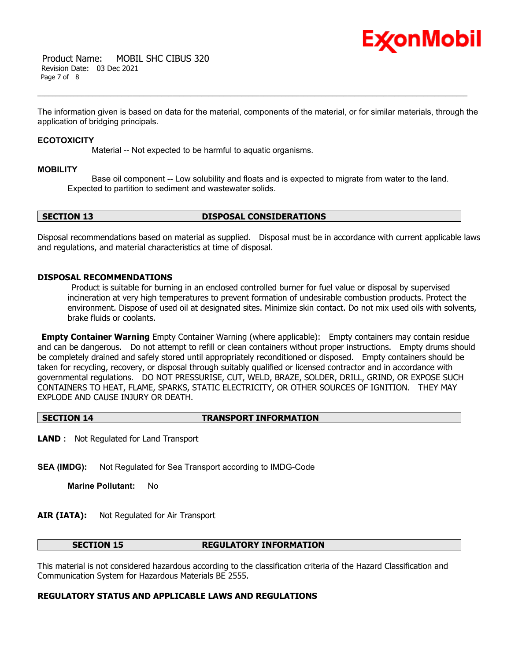

 Product Name: MOBIL SHC CIBUS 320 Revision Date: 03 Dec 2021 Page 7 of 8

The information given is based on data for the material, components of the material, or for similar materials, through the application of bridging principals.

### **ECOTOXICITY**

Material -- Not expected to be harmful to aquatic organisms.

## **MOBILITY**

 Base oil component -- Low solubility and floats and is expected to migrate from water to the land. Expected to partition to sediment and wastewater solids.

# **SECTION 13 DISPOSAL CONSIDERATIONS**

Disposal recommendations based on material as supplied. Disposal must be in accordance with current applicable laws and regulations, and material characteristics at time of disposal.

# **DISPOSAL RECOMMENDATIONS**

Product is suitable for burning in an enclosed controlled burner for fuel value or disposal by supervised incineration at very high temperatures to prevent formation of undesirable combustion products. Protect the environment. Dispose of used oil at designated sites. Minimize skin contact. Do not mix used oils with solvents, brake fluids or coolants.

**Empty Container Warning** Empty Container Warning (where applicable): Empty containers may contain residue and can be dangerous. Do not attempt to refill or clean containers without proper instructions. Empty drums should be completely drained and safely stored until appropriately reconditioned or disposed. Empty containers should be taken for recycling, recovery, or disposal through suitably qualified or licensed contractor and in accordance with governmental regulations. DO NOT PRESSURISE, CUT, WELD, BRAZE, SOLDER, DRILL, GRIND, OR EXPOSE SUCH CONTAINERS TO HEAT, FLAME, SPARKS, STATIC ELECTRICITY, OR OTHER SOURCES OF IGNITION. THEY MAY EXPLODE AND CAUSE INJURY OR DEATH.

### **SECTION 14 TRANSPORT INFORMATION**

**LAND** : Not Regulated for Land Transport

**SEA (IMDG):** Not Regulated for Sea Transport according to IMDG-Code

**Marine Pollutant:** No

# **AIR (IATA):** Not Regulated for Air Transport

### **SECTION 15 REGULATORY INFORMATION**

This material is not considered hazardous according to the classification criteria of the Hazard Classification and Communication System for Hazardous Materials BE 2555.

# **REGULATORY STATUS AND APPLICABLE LAWS AND REGULATIONS**